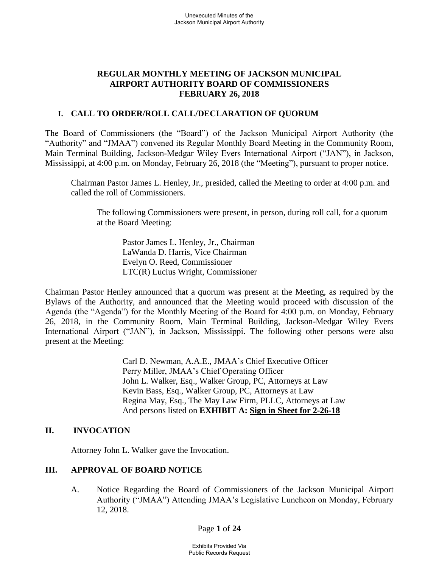# **REGULAR MONTHLY MEETING OF JACKSON MUNICIPAL AIRPORT AUTHORITY BOARD OF COMMISSIONERS FEBRUARY 26, 2018**

# **I. CALL TO ORDER/ROLL CALL/DECLARATION OF QUORUM**

The Board of Commissioners (the "Board") of the Jackson Municipal Airport Authority (the "Authority" and "JMAA") convened its Regular Monthly Board Meeting in the Community Room, Main Terminal Building, Jackson-Medgar Wiley Evers International Airport ("JAN"), in Jackson, Mississippi, at 4:00 p.m. on Monday, February 26, 2018 (the "Meeting"), pursuant to proper notice.

Chairman Pastor James L. Henley, Jr., presided, called the Meeting to order at 4:00 p.m. and called the roll of Commissioners.

The following Commissioners were present, in person, during roll call, for a quorum at the Board Meeting:

Pastor James L. Henley, Jr., Chairman LaWanda D. Harris, Vice Chairman Evelyn O. Reed, Commissioner LTC(R) Lucius Wright, Commissioner

Chairman Pastor Henley announced that a quorum was present at the Meeting, as required by the Bylaws of the Authority, and announced that the Meeting would proceed with discussion of the Agenda (the "Agenda") for the Monthly Meeting of the Board for 4:00 p.m. on Monday, February 26, 2018, in the Community Room, Main Terminal Building, Jackson-Medgar Wiley Evers International Airport ("JAN"), in Jackson, Mississippi. The following other persons were also present at the Meeting:

> Carl D. Newman, A.A.E., JMAA's Chief Executive Officer Perry Miller, JMAA's Chief Operating Officer John L. Walker, Esq., Walker Group, PC, Attorneys at Law Kevin Bass, Esq., Walker Group, PC, Attorneys at Law Regina May, Esq., The May Law Firm, PLLC, Attorneys at Law And persons listed on **EXHIBIT A: Sign [in](file://///walker2008-1/netshare/Work/JMAA4324/BOARD%20MEETINGS/2017-07-27%20Board%20Meeting/2016-09-22%20Board%20Meeting/Rescheduled%20Regular%20Board%20Meeting%20Sign%20in%20Sheet%20August%2029%202016.pdf) [Sheet](file://///walker2008-1/netshare/Work/JMAA4324/BOARD%20MEETINGS/2017-07-27%20Board%20Meeting/Drafts/2017-MAR%2027-bmr.pdf) for 2-26-18**

# **II. INVOCATION**

Attorney John L. Walker gave the Invocation.

# **III. APPROVAL OF BOARD NOTICE**

A. Notice Regarding the Board of Commissioners of the Jackson Municipal Airport Authority ("JMAA") Attending JMAA's Legislative Luncheon on Monday, February 12, 2018.

Page **1** of **24**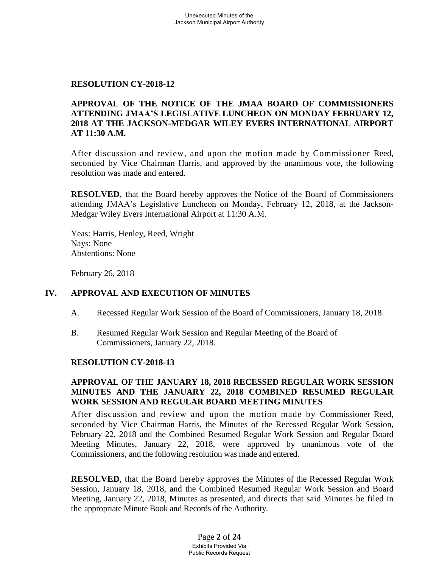#### **RESOLUTION CY-2018-12**

### **APPROVAL OF THE NOTICE OF THE JMAA BOARD OF COMMISSIONERS ATTENDING JMAA'S LEGISLATIVE LUNCHEON ON MONDAY FEBRUARY 12, 2018 AT THE JACKSON-MEDGAR WILEY EVERS INTERNATIONAL AIRPORT AT 11:30 A.M.**

After discussion and review, and upon the motion made by Commissioner Reed, seconded by Vice Chairman Harris, and approved by the unanimous vote, the following resolution was made and entered.

**RESOLVED**, that the Board hereby approves the Notice of the Board of Commissioners attending JMAA's Legislative Luncheon on Monday, February 12, 2018, at the Jackson-Medgar Wiley Evers International Airport at 11:30 A.M.

Yeas: Harris, Henley, Reed, Wright Nays: None Abstentions: None

February 26, 2018

#### **IV. APPROVAL AND EXECUTION OF MINUTES**

- A. Recessed Regular Work Session of the Board of Commissioners, January 18, 2018.
- B. Resumed Regular Work Session and Regular Meeting of the Board of Commissioners, January 22, 2018.

#### **RESOLUTION CY-2018-13**

### **APPROVAL OF THE JANUARY 18, 2018 RECESSED REGULAR WORK SESSION MINUTES AND THE JANUARY 22, 2018 COMBINED RESUMED REGULAR WORK SESSION AND REGULAR BOARD MEETING MINUTES**

After discussion and review and upon the motion made by Commissioner Reed, seconded by Vice Chairman Harris, the Minutes of the Recessed Regular Work Session, February 22, 2018 and the Combined Resumed Regular Work Session and Regular Board Meeting Minutes, January 22, 2018, were approved by unanimous vote of the Commissioners, and the following resolution was made and entered.

**RESOLVED**, that the Board hereby approves the Minutes of the Recessed Regular Work Session, January 18, 2018, and the Combined Resumed Regular Work Session and Board Meeting, January 22, 2018, Minutes as presented, and directs that said Minutes be filed in the appropriate Minute Book and Records of the Authority.

> Page **2** of **24** Exhibits Provided Via Public Records Request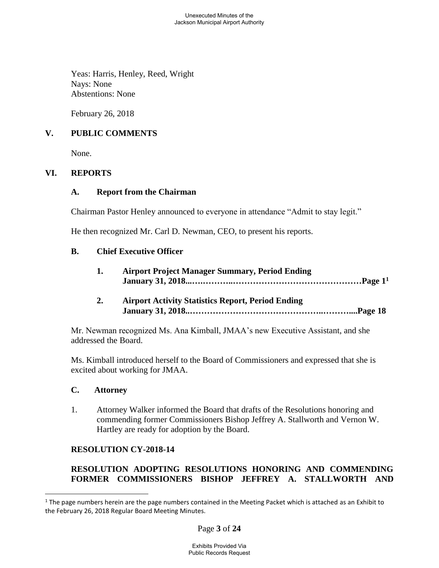Yeas: Harris, Henley, Reed, Wright Nays: None Abstentions: None

February 26, 2018

# **V. PUBLIC COMMENTS**

None.

# **VI. REPORTS**

### **A. Report from the Chairman**

Chairman Pastor Henley announced to everyone in attendance "Admit to stay legit."

He then recognized Mr. Carl D. Newman, CEO, to present his reports.

### **B. Chief Executive Officer**

| <b>Airport Project Manager Summary, Period Ending</b> |
|-------------------------------------------------------|
|                                                       |

**2. Airport Activity Statistics Report, Period Ending January 31, 2018..………………………………………..………....Page 18**

Mr. Newman recognized Ms. Ana Kimball, JMAA's new Executive Assistant, and she addressed the Board.

Ms. Kimball introduced herself to the Board of Commissioners and expressed that she is excited about working for JMAA.

# **C. Attorney**

 $\overline{a}$ 

1. Attorney Walker informed the Board that drafts of the Resolutions honoring and commending former Commissioners Bishop Jeffrey A. Stallworth and Vernon W. Hartley are ready for adoption by the Board.

# **RESOLUTION CY-2018-14**

# **RESOLUTION ADOPTING RESOLUTIONS HONORING AND COMMENDING FORMER COMMISSIONERS BISHOP JEFFREY A. STALLWORTH AND**

Page **3** of **24**

 $1$  The page numbers herein are the page numbers contained in the Meeting Packet which is attached as an Exhibit to the February 26, 2018 Regular Board Meeting Minutes.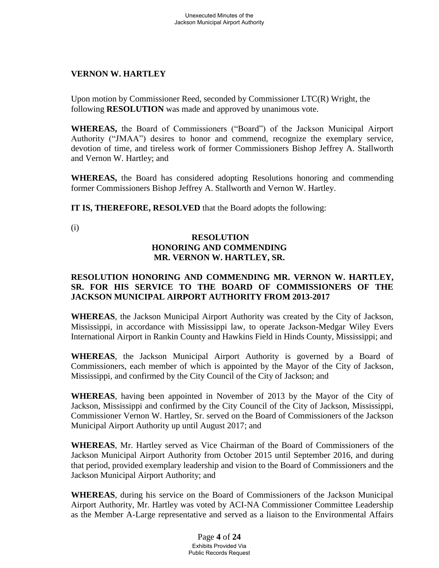# **VERNON W. HARTLEY**

Upon motion by Commissioner Reed, seconded by Commissioner LTC(R) Wright, the following **RESOLUTION** was made and approved by unanimous vote.

**WHEREAS,** the Board of Commissioners ("Board") of the Jackson Municipal Airport Authority ("JMAA") desires to honor and commend, recognize the exemplary service, devotion of time, and tireless work of former Commissioners Bishop Jeffrey A. Stallworth and Vernon W. Hartley; and

**WHEREAS,** the Board has considered adopting Resolutions honoring and commending former Commissioners Bishop Jeffrey A. Stallworth and Vernon W. Hartley.

**IT IS, THEREFORE, RESOLVED** that the Board adopts the following:

(i)

# **RESOLUTION HONORING AND COMMENDING MR. VERNON W. HARTLEY, SR.**

### **RESOLUTION HONORING AND COMMENDING MR. VERNON W. HARTLEY, SR. FOR HIS SERVICE TO THE BOARD OF COMMISSIONERS OF THE JACKSON MUNICIPAL AIRPORT AUTHORITY FROM 2013-2017**

**WHEREAS**, the Jackson Municipal Airport Authority was created by the City of Jackson, Mississippi, in accordance with Mississippi law, to operate Jackson-Medgar Wiley Evers International Airport in Rankin County and Hawkins Field in Hinds County, Mississippi; and

**WHEREAS**, the Jackson Municipal Airport Authority is governed by a Board of Commissioners, each member of which is appointed by the Mayor of the City of Jackson, Mississippi, and confirmed by the City Council of the City of Jackson; and

**WHEREAS**, having been appointed in November of 2013 by the Mayor of the City of Jackson, Mississippi and confirmed by the City Council of the City of Jackson, Mississippi, Commissioner Vernon W. Hartley, Sr. served on the Board of Commissioners of the Jackson Municipal Airport Authority up until August 2017; and

**WHEREAS**, Mr. Hartley served as Vice Chairman of the Board of Commissioners of the Jackson Municipal Airport Authority from October 2015 until September 2016, and during that period, provided exemplary leadership and vision to the Board of Commissioners and the Jackson Municipal Airport Authority; and

**WHEREAS**, during his service on the Board of Commissioners of the Jackson Municipal Airport Authority, Mr. Hartley was voted by ACI-NA Commissioner Committee Leadership as the Member A-Large representative and served as a liaison to the Environmental Affairs

> Page **4** of **24** Exhibits Provided Via Public Records Request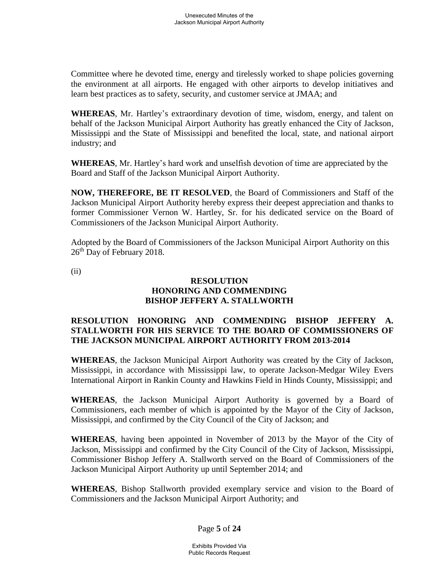Committee where he devoted time, energy and tirelessly worked to shape policies governing the environment at all airports. He engaged with other airports to develop initiatives and learn best practices as to safety, security, and customer service at JMAA; and

**WHEREAS**, Mr. Hartley's extraordinary devotion of time, wisdom, energy, and talent on behalf of the Jackson Municipal Airport Authority has greatly enhanced the City of Jackson, Mississippi and the State of Mississippi and benefited the local, state, and national airport industry; and

**WHEREAS**, Mr. Hartley's hard work and unselfish devotion of time are appreciated by the Board and Staff of the Jackson Municipal Airport Authority.

**NOW, THEREFORE, BE IT RESOLVED**, the Board of Commissioners and Staff of the Jackson Municipal Airport Authority hereby express their deepest appreciation and thanks to former Commissioner Vernon W. Hartley, Sr. for his dedicated service on the Board of Commissioners of the Jackson Municipal Airport Authority.

Adopted by the Board of Commissioners of the Jackson Municipal Airport Authority on this 26<sup>th</sup> Day of February 2018.

(ii)

### **RESOLUTION HONORING AND COMMENDING BISHOP JEFFERY A. STALLWORTH**

# **RESOLUTION HONORING AND COMMENDING BISHOP JEFFERY A. STALLWORTH FOR HIS SERVICE TO THE BOARD OF COMMISSIONERS OF THE JACKSON MUNICIPAL AIRPORT AUTHORITY FROM 2013-2014**

**WHEREAS**, the Jackson Municipal Airport Authority was created by the City of Jackson, Mississippi, in accordance with Mississippi law, to operate Jackson-Medgar Wiley Evers International Airport in Rankin County and Hawkins Field in Hinds County, Mississippi; and

**WHEREAS**, the Jackson Municipal Airport Authority is governed by a Board of Commissioners, each member of which is appointed by the Mayor of the City of Jackson, Mississippi, and confirmed by the City Council of the City of Jackson; and

**WHEREAS**, having been appointed in November of 2013 by the Mayor of the City of Jackson, Mississippi and confirmed by the City Council of the City of Jackson, Mississippi, Commissioner Bishop Jeffery A. Stallworth served on the Board of Commissioners of the Jackson Municipal Airport Authority up until September 2014; and

**WHEREAS**, Bishop Stallworth provided exemplary service and vision to the Board of Commissioners and the Jackson Municipal Airport Authority; and

Page **5** of **24**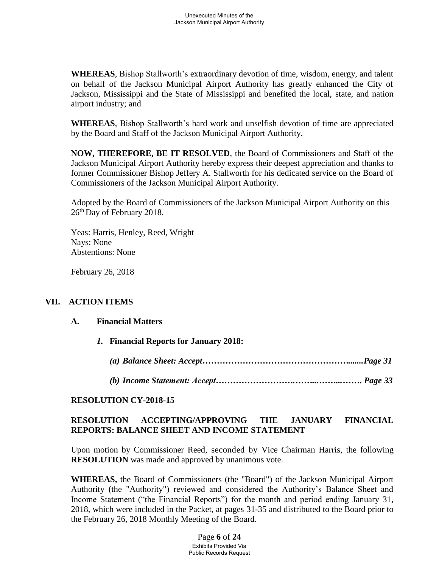**WHEREAS**, Bishop Stallworth's extraordinary devotion of time, wisdom, energy, and talent on behalf of the Jackson Municipal Airport Authority has greatly enhanced the City of Jackson, Mississippi and the State of Mississippi and benefited the local, state, and nation airport industry; and

**WHEREAS**, Bishop Stallworth's hard work and unselfish devotion of time are appreciated by the Board and Staff of the Jackson Municipal Airport Authority.

**NOW, THEREFORE, BE IT RESOLVED**, the Board of Commissioners and Staff of the Jackson Municipal Airport Authority hereby express their deepest appreciation and thanks to former Commissioner Bishop Jeffery A. Stallworth for his dedicated service on the Board of Commissioners of the Jackson Municipal Airport Authority.

Adopted by the Board of Commissioners of the Jackson Municipal Airport Authority on this 26<sup>th</sup> Day of February 2018.

Yeas: Harris, Henley, Reed, Wright Nays: None Abstentions: None

February 26, 2018

# **VII. ACTION ITEMS**

#### **A. Financial Matters**

- *1.* **Financial Reports for January 2018:**
	- *(a) Balance Sheet: Accept…………………………………………….......Page 31*
	- *(b) Income Statement: Accept……………………….……...……...……. Page 33*

#### **RESOLUTION CY-2018-15**

# **RESOLUTION ACCEPTING/APPROVING THE JANUARY FINANCIAL REPORTS: BALANCE SHEET AND INCOME STATEMENT**

Upon motion by Commissioner Reed, seconded by Vice Chairman Harris, the following **RESOLUTION** was made and approved by unanimous vote.

**WHEREAS,** the Board of Commissioners (the "Board") of the Jackson Municipal Airport Authority (the "Authority") reviewed and considered the Authority's Balance Sheet and Income Statement ("the Financial Reports") for the month and period ending January 31, 2018, which were included in the Packet, at pages 31-35 and distributed to the Board prior to the February 26, 2018 Monthly Meeting of the Board.

> Page **6** of **24** Exhibits Provided Via Public Records Request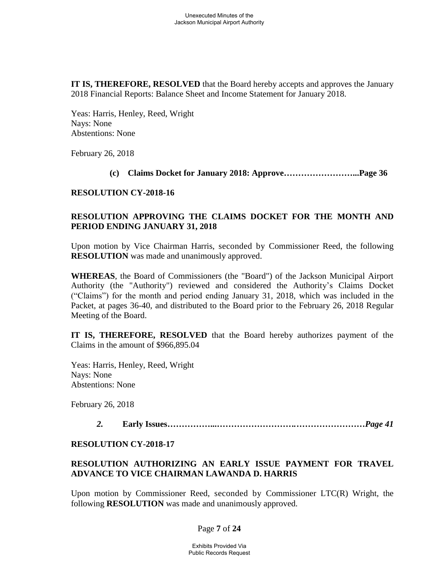**IT IS, THEREFORE, RESOLVED** that the Board hereby accepts and approves the January 2018 Financial Reports: Balance Sheet and Income Statement for January 2018.

Yeas: Harris, Henley, Reed, Wright Nays: None Abstentions: None

February 26, 2018

**(c) Claims Docket for January 2018: Approve……………………...Page 36**

#### **RESOLUTION CY-2018-16**

# **RESOLUTION APPROVING THE CLAIMS DOCKET FOR THE MONTH AND PERIOD ENDING JANUARY 31, 2018**

Upon motion by Vice Chairman Harris, seconded by Commissioner Reed, the following **RESOLUTION** was made and unanimously approved.

**WHEREAS**, the Board of Commissioners (the "Board") of the Jackson Municipal Airport Authority (the "Authority") reviewed and considered the Authority's Claims Docket ("Claims") for the month and period ending January 31, 2018, which was included in the Packet, at pages 36-40, and distributed to the Board prior to the February 26, 2018 Regular Meeting of the Board.

**IT IS, THEREFORE, RESOLVED** that the Board hereby authorizes payment of the Claims in the amount of \$966,895.04

Yeas: Harris, Henley, Reed, Wright Nays: None Abstentions: None

February 26, 2018

*2.* **Early Issues……………...***……………………….……………………Page 41*

#### **RESOLUTION CY-2018-17**

# **RESOLUTION AUTHORIZING AN EARLY ISSUE PAYMENT FOR TRAVEL ADVANCE TO VICE CHAIRMAN LAWANDA D. HARRIS**

Upon motion by Commissioner Reed, seconded by Commissioner LTC(R) Wright, the following **RESOLUTION** was made and unanimously approved.

# Page **7** of **24**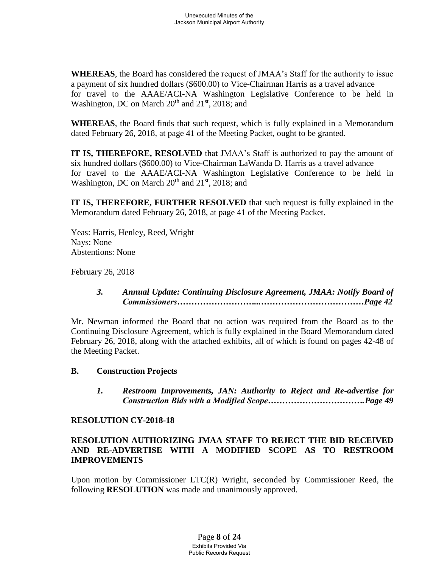**WHEREAS**, the Board has considered the request of JMAA's Staff for the authority to issue a payment of six hundred dollars (\$600.00) to Vice-Chairman Harris as a travel advance for travel to the AAAE/ACI-NA Washington Legislative Conference to be held in Washington, DC on March  $20<sup>th</sup>$  and  $21<sup>st</sup>$ ,  $2018$ ; and

**WHEREAS**, the Board finds that such request, which is fully explained in a Memorandum dated February 26, 2018, at page 41 of the Meeting Packet, ought to be granted.

**IT IS, THEREFORE, RESOLVED** that JMAA's Staff is authorized to pay the amount of six hundred dollars (\$600.00) to Vice-Chairman LaWanda D. Harris as a travel advance for travel to the AAAE/ACI-NA Washington Legislative Conference to be held in Washington, DC on March  $20^{th}$  and  $21^{st}$ ,  $2018$ ; and

**IT IS, THEREFORE, FURTHER RESOLVED** that such request is fully explained in the Memorandum dated February 26, 2018, at page 41 of the Meeting Packet.

Yeas: Harris, Henley, Reed, Wright Nays: None Abstentions: None

February 26, 2018

# *3. Annual Update: Continuing Disclosure Agreement, JMAA: Notify Board of Commissioners………………………...***………………………………***Page 42*

Mr. Newman informed the Board that no action was required from the Board as to the Continuing Disclosure Agreement, which is fully explained in the Board Memorandum dated February 26, 2018, along with the attached exhibits, all of which is found on pages 42-48 of the Meeting Packet.

# **B. Construction Projects**

*1. Restroom Improvements, JAN: Authority to Reject and Re-advertise for Construction Bids with a Modified Scope…………………………….Page 49*

#### **RESOLUTION CY-2018-18**

# **RESOLUTION AUTHORIZING JMAA STAFF TO REJECT THE BID RECEIVED AND RE-ADVERTISE WITH A MODIFIED SCOPE AS TO RESTROOM IMPROVEMENTS**

Upon motion by Commissioner LTC(R) Wright, seconded by Commissioner Reed, the following **RESOLUTION** was made and unanimously approved.

> Page **8** of **24** Exhibits Provided Via Public Records Request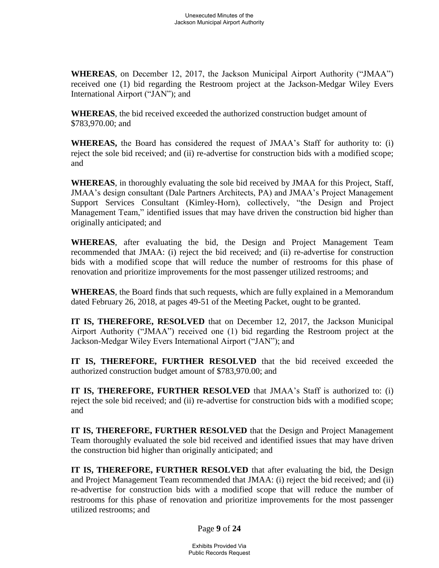**WHEREAS**, on December 12, 2017, the Jackson Municipal Airport Authority ("JMAA") received one (1) bid regarding the Restroom project at the Jackson-Medgar Wiley Evers International Airport ("JAN"); and

**WHEREAS**, the bid received exceeded the authorized construction budget amount of \$783,970.00; and

**WHEREAS,** the Board has considered the request of JMAA's Staff for authority to: (i) reject the sole bid received; and (ii) re-advertise for construction bids with a modified scope; and

**WHEREAS**, in thoroughly evaluating the sole bid received by JMAA for this Project, Staff, JMAA's design consultant (Dale Partners Architects, PA) and JMAA's Project Management Support Services Consultant (Kimley-Horn), collectively, "the Design and Project Management Team," identified issues that may have driven the construction bid higher than originally anticipated; and

**WHEREAS**, after evaluating the bid, the Design and Project Management Team recommended that JMAA: (i) reject the bid received; and (ii) re-advertise for construction bids with a modified scope that will reduce the number of restrooms for this phase of renovation and prioritize improvements for the most passenger utilized restrooms; and

**WHEREAS**, the Board finds that such requests, which are fully explained in a Memorandum dated February 26, 2018, at pages 49-51 of the Meeting Packet, ought to be granted.

**IT IS, THEREFORE, RESOLVED** that on December 12, 2017, the Jackson Municipal Airport Authority ("JMAA") received one (1) bid regarding the Restroom project at the Jackson-Medgar Wiley Evers International Airport ("JAN"); and

**IT IS, THEREFORE, FURTHER RESOLVED** that the bid received exceeded the authorized construction budget amount of \$783,970.00; and

**IT IS, THEREFORE, FURTHER RESOLVED** that JMAA's Staff is authorized to: (i) reject the sole bid received; and (ii) re-advertise for construction bids with a modified scope; and

**IT IS, THEREFORE, FURTHER RESOLVED** that the Design and Project Management Team thoroughly evaluated the sole bid received and identified issues that may have driven the construction bid higher than originally anticipated; and

**IT IS, THEREFORE, FURTHER RESOLVED** that after evaluating the bid, the Design and Project Management Team recommended that JMAA: (i) reject the bid received; and (ii) re-advertise for construction bids with a modified scope that will reduce the number of restrooms for this phase of renovation and prioritize improvements for the most passenger utilized restrooms; and

Page **9** of **24**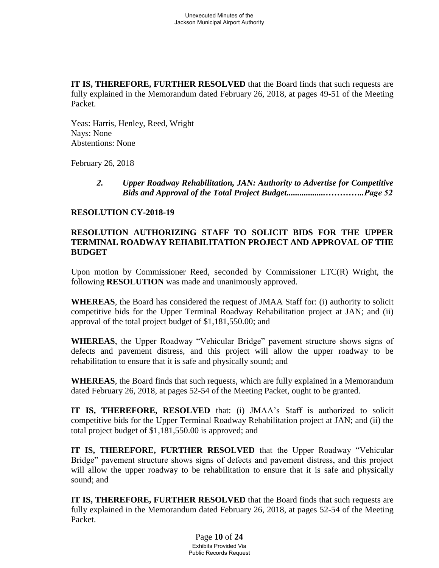**IT IS, THEREFORE, FURTHER RESOLVED** that the Board finds that such requests are fully explained in the Memorandum dated February 26, 2018, at pages 49-51 of the Meeting Packet.

Yeas: Harris, Henley, Reed, Wright Nays: None Abstentions: None

February 26, 2018

*2. Upper Roadway Rehabilitation, JAN: Authority to Advertise for Competitive Bids and Approval of the Total Project Budget..................…………..Page 52*

### **RESOLUTION CY-2018-19**

# **RESOLUTION AUTHORIZING STAFF TO SOLICIT BIDS FOR THE UPPER TERMINAL ROADWAY REHABILITATION PROJECT AND APPROVAL OF THE BUDGET**

Upon motion by Commissioner Reed, seconded by Commissioner LTC(R) Wright, the following **RESOLUTION** was made and unanimously approved.

**WHEREAS**, the Board has considered the request of JMAA Staff for: (i) authority to solicit competitive bids for the Upper Terminal Roadway Rehabilitation project at JAN; and (ii) approval of the total project budget of \$1,181,550.00; and

**WHEREAS**, the Upper Roadway "Vehicular Bridge" pavement structure shows signs of defects and pavement distress, and this project will allow the upper roadway to be rehabilitation to ensure that it is safe and physically sound; and

**WHEREAS**, the Board finds that such requests, which are fully explained in a Memorandum dated February 26, 2018, at pages 52-54 of the Meeting Packet, ought to be granted.

**IT IS, THEREFORE, RESOLVED** that: (i) JMAA's Staff is authorized to solicit competitive bids for the Upper Terminal Roadway Rehabilitation project at JAN; and (ii) the total project budget of \$1,181,550.00 is approved; and

**IT IS, THEREFORE, FURTHER RESOLVED** that the Upper Roadway "Vehicular Bridge" pavement structure shows signs of defects and pavement distress, and this project will allow the upper roadway to be rehabilitation to ensure that it is safe and physically sound; and

**IT IS, THEREFORE, FURTHER RESOLVED** that the Board finds that such requests are fully explained in the Memorandum dated February 26, 2018, at pages 52-54 of the Meeting Packet.

> Page **10** of **24** Exhibits Provided Via Public Records Request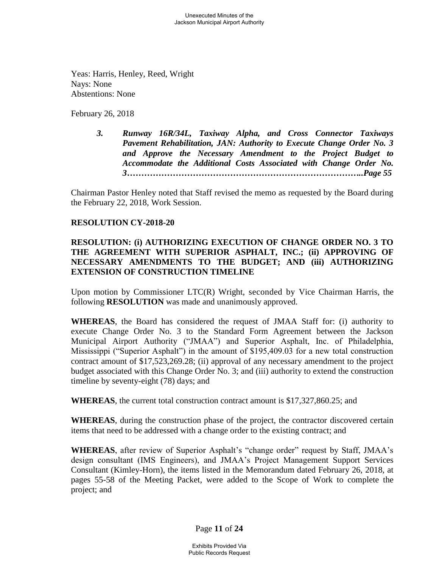Yeas: Harris, Henley, Reed, Wright Nays: None Abstentions: None

February 26, 2018

*3. Runway 16R/34L, Taxiway Alpha, and Cross Connector Taxiways Pavement Rehabilitation, JAN: Authority to Execute Change Order No. 3 and Approve the Necessary Amendment to the Project Budget to Accommodate the Additional Costs Associated with Change Order No. 3………………………………………………………………………..Page 55*

Chairman Pastor Henley noted that Staff revised the memo as requested by the Board during the February 22, 2018, Work Session.

### **RESOLUTION CY-2018-20**

# **RESOLUTION: (i) AUTHORIZING EXECUTION OF CHANGE ORDER NO. 3 TO THE AGREEMENT WITH SUPERIOR ASPHALT, INC.; (ii) APPROVING OF NECESSARY AMENDMENTS TO THE BUDGET; AND (iii) AUTHORIZING EXTENSION OF CONSTRUCTION TIMELINE**

Upon motion by Commissioner LTC(R) Wright, seconded by Vice Chairman Harris, the following **RESOLUTION** was made and unanimously approved.

**WHEREAS**, the Board has considered the request of JMAA Staff for: (i) authority to execute Change Order No. 3 to the Standard Form Agreement between the Jackson Municipal Airport Authority ("JMAA") and Superior Asphalt, Inc. of Philadelphia, Mississippi ("Superior Asphalt") in the amount of \$195,409.03 for a new total construction contract amount of \$17,523,269.28; (ii) approval of any necessary amendment to the project budget associated with this Change Order No. 3; and (iii) authority to extend the construction timeline by seventy-eight (78) days; and

**WHEREAS**, the current total construction contract amount is \$17,327,860.25; and

**WHEREAS**, during the construction phase of the project, the contractor discovered certain items that need to be addressed with a change order to the existing contract; and

**WHEREAS**, after review of Superior Asphalt's "change order" request by Staff, JMAA's design consultant (IMS Engineers), and JMAA's Project Management Support Services Consultant (Kimley-Horn), the items listed in the Memorandum dated February 26, 2018, at pages 55-58 of the Meeting Packet, were added to the Scope of Work to complete the project; and

Page **11** of **24**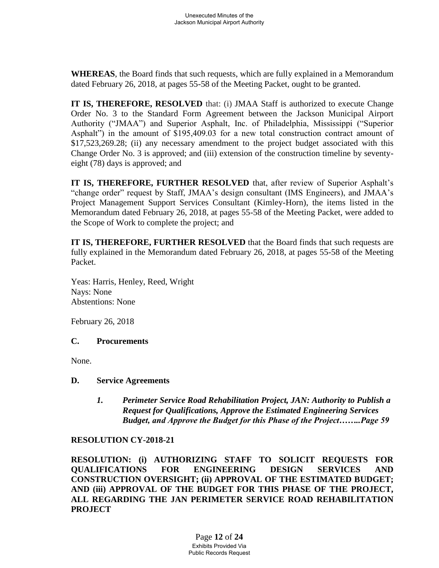**WHEREAS**, the Board finds that such requests, which are fully explained in a Memorandum dated February 26, 2018, at pages 55-58 of the Meeting Packet, ought to be granted.

**IT IS, THEREFORE, RESOLVED** that: (i) JMAA Staff is authorized to execute Change Order No. 3 to the Standard Form Agreement between the Jackson Municipal Airport Authority ("JMAA") and Superior Asphalt, Inc. of Philadelphia, Mississippi ("Superior Asphalt") in the amount of \$195,409.03 for a new total construction contract amount of \$17,523,269.28; (ii) any necessary amendment to the project budget associated with this Change Order No. 3 is approved; and (iii) extension of the construction timeline by seventyeight (78) days is approved; and

**IT IS, THEREFORE, FURTHER RESOLVED** that, after review of Superior Asphalt's "change order" request by Staff, JMAA's design consultant (IMS Engineers), and JMAA's Project Management Support Services Consultant (Kimley-Horn), the items listed in the Memorandum dated February 26, 2018, at pages 55-58 of the Meeting Packet, were added to the Scope of Work to complete the project; and

**IT IS, THEREFORE, FURTHER RESOLVED** that the Board finds that such requests are fully explained in the Memorandum dated February 26, 2018, at pages 55-58 of the Meeting Packet.

Yeas: Harris, Henley, Reed, Wright Nays: None Abstentions: None

February 26, 2018

# **C. Procurements**

None.

#### **D. Service Agreements**

*1. Perimeter Service Road Rehabilitation Project, JAN: Authority to Publish a Request for Qualifications, Approve the Estimated Engineering Services Budget, and Approve the Budget for this Phase of the Project……..Page 59*

# **RESOLUTION CY-2018-21**

**RESOLUTION: (i) AUTHORIZING STAFF TO SOLICIT REQUESTS FOR QUALIFICATIONS FOR ENGINEERING DESIGN SERVICES AND CONSTRUCTION OVERSIGHT; (ii) APPROVAL OF THE ESTIMATED BUDGET; AND (iii) APPROVAL OF THE BUDGET FOR THIS PHASE OF THE PROJECT, ALL REGARDING THE JAN PERIMETER SERVICE ROAD REHABILITATION PROJECT**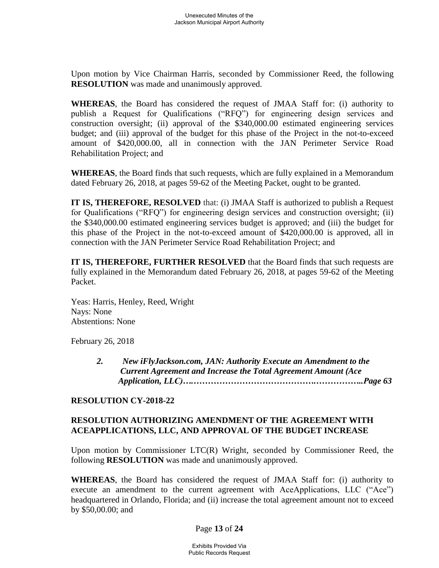Upon motion by Vice Chairman Harris, seconded by Commissioner Reed, the following **RESOLUTION** was made and unanimously approved.

**WHEREAS**, the Board has considered the request of JMAA Staff for: (i) authority to publish a Request for Qualifications ("RFQ") for engineering design services and construction oversight; (ii) approval of the \$340,000.00 estimated engineering services budget; and (iii) approval of the budget for this phase of the Project in the not-to-exceed amount of \$420,000.00, all in connection with the JAN Perimeter Service Road Rehabilitation Project; and

**WHEREAS**, the Board finds that such requests, which are fully explained in a Memorandum dated February 26, 2018, at pages 59-62 of the Meeting Packet, ought to be granted.

**IT IS, THEREFORE, RESOLVED** that: (i) JMAA Staff is authorized to publish a Request for Qualifications ("RFQ") for engineering design services and construction oversight; (ii) the \$340,000.00 estimated engineering services budget is approved; and (iii) the budget for this phase of the Project in the not-to-exceed amount of \$420,000.00 is approved, all in connection with the JAN Perimeter Service Road Rehabilitation Project; and

**IT IS, THEREFORE, FURTHER RESOLVED** that the Board finds that such requests are fully explained in the Memorandum dated February 26, 2018, at pages 59-62 of the Meeting Packet.

Yeas: Harris, Henley, Reed, Wright Nays: None Abstentions: None

February 26, 2018

*2. New iFlyJackson.com, JAN: Authority Execute an Amendment to the Current Agreement and Increase the Total Agreement Amount (Ace Application, LLC)….…………………………………….……………..Page 63*

#### **RESOLUTION CY-2018-22**

# **RESOLUTION AUTHORIZING AMENDMENT OF THE AGREEMENT WITH ACEAPPLICATIONS, LLC, AND APPROVAL OF THE BUDGET INCREASE**

Upon motion by Commissioner LTC(R) Wright, seconded by Commissioner Reed, the following **RESOLUTION** was made and unanimously approved.

**WHEREAS**, the Board has considered the request of JMAA Staff for: (i) authority to execute an amendment to the current agreement with AceApplications, LLC ("Ace") headquartered in Orlando, Florida; and (ii) increase the total agreement amount not to exceed by \$50,00.00; and

#### Page **13** of **24**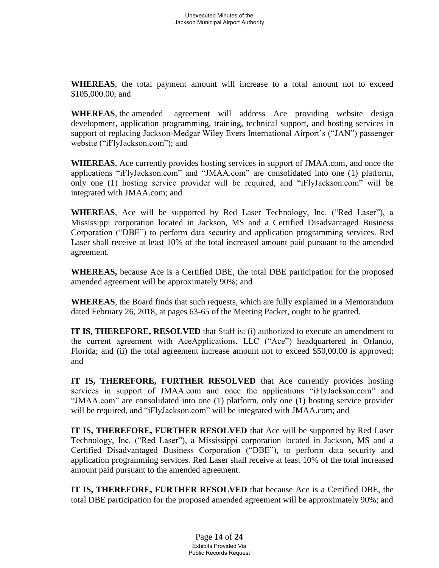**WHEREAS**, the total payment amount will increase to a total amount not to exceed \$105,000.00; and

**WHEREAS**, the amended agreement will address Ace providing website design development, application programming, training, technical support, and hosting services in support of replacing Jackson-Medgar Wiley Evers International Airport's ("JAN") passenger website ("iFlyJackson.com"); and

**WHEREAS**, Ace currently provides hosting services in support of JMAA.com, and once the applications "iFlyJackson.com" and "JMAA.com" are consolidated into one (1) platform, only one (1) hosting service provider will be required, and "iFlyJackson.com" will be integrated with JMAA.com; and

**WHEREAS**, Ace will be supported by Red Laser Technology, Inc. ("Red Laser"), a Mississippi corporation located in Jackson, MS and a Certified Disadvantaged Business Corporation ("DBE") to perform data security and application programming services. Red Laser shall receive at least 10% of the total increased amount paid pursuant to the amended agreement.

**WHEREAS,** because Ace is a Certified DBE, the total DBE participation for the proposed amended agreement will be approximately 90%; and

**WHEREAS**, the Board finds that such requests, which are fully explained in a Memorandum dated February 26, 2018, at pages 63-65 of the Meeting Packet, ought to be granted.

**IT IS, THEREFORE, RESOLVED** that Staff is: (i) authorized to execute an amendment to the current agreement with AceApplications, LLC ("Ace") headquartered in Orlando, Florida; and (ii) the total agreement increase amount not to exceed \$50,00.00 is approved; and

**IT IS, THEREFORE, FURTHER RESOLVED** that Ace currently provides hosting services in support of JMAA.com and once the applications "iFlyJackson.com" and "JMAA.com" are consolidated into one (1) platform, only one (1) hosting service provider will be required, and "iFlyJackson.com" will be integrated with JMAA.com; and

**IT IS, THEREFORE, FURTHER RESOLVED** that Ace will be supported by Red Laser Technology, Inc. ("Red Laser"), a Mississippi corporation located in Jackson, MS and a Certified Disadvantaged Business Corporation ("DBE"), to perform data security and application programming services. Red Laser shall receive at least 10% of the total increased amount paid pursuant to the amended agreement.

**IT IS, THEREFORE, FURTHER RESOLVED** that because Ace is a Certified DBE, the total DBE participation for the proposed amended agreement will be approximately 90%; and

> Page **14** of **24** Exhibits Provided Via Public Records Request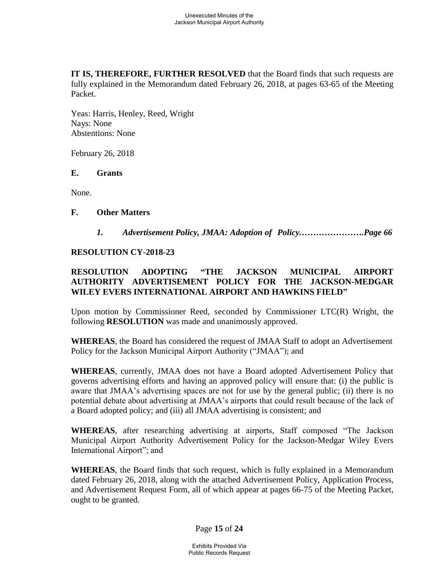**IT IS, THEREFORE, FURTHER RESOLVED** that the Board finds that such requests are fully explained in the Memorandum dated February 26, 2018, at pages 63-65 of the Meeting Packet.

Yeas: Harris, Henley, Reed, Wright Nays: None Abstentions: None

February 26, 2018

#### **E. Grants**

None.

#### **F. Other Matters**

*1. Advertisement Policy, JMAA: Adoption of Policy.………………….Page 66*

### **RESOLUTION CY-2018-23**

# **RESOLUTION ADOPTING "THE JACKSON MUNICIPAL AIRPORT AUTHORITY ADVERTISEMENT POLICY FOR THE JACKSON-MEDGAR WILEY EVERS INTERNATIONAL AIRPORT AND HAWKINS FIELD"**

Upon motion by Commissioner Reed, seconded by Commissioner LTC(R) Wright, the following **RESOLUTION** was made and unanimously approved.

**WHEREAS**, the Board has considered the request of JMAA Staff to adopt an Advertisement Policy for the Jackson Municipal Airport Authority ("JMAA"); and

**WHEREAS**, currently, JMAA does not have a Board adopted Advertisement Policy that governs advertising efforts and having an approved policy will ensure that: (i) the public is aware that JMAA's advertising spaces are not for use by the general public; (ii) there is no potential debate about advertising at JMAA's airports that could result because of the lack of a Board adopted policy; and (iii) all JMAA advertising is consistent; and

**WHEREAS**, after researching advertising at airports, Staff composed "The Jackson Municipal Airport Authority Advertisement Policy for the Jackson-Medgar Wiley Evers International Airport"; and

**WHEREAS**, the Board finds that such request, which is fully explained in a Memorandum dated February 26, 2018, along with the attached Advertisement Policy, Application Process, and Advertisement Request Form, all of which appear at pages 66-75 of the Meeting Packet, ought to be granted.

Page **15** of **24**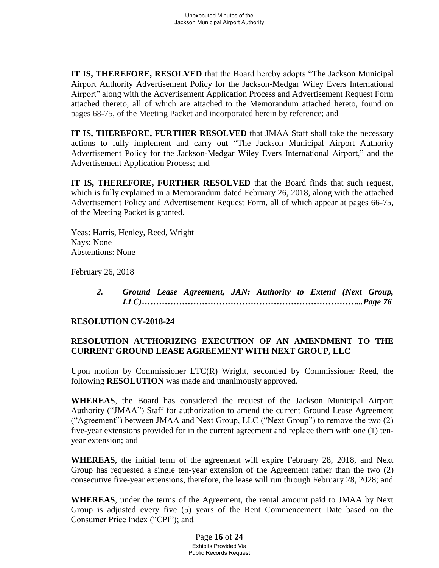**IT IS, THEREFORE, RESOLVED** that the Board hereby adopts "The Jackson Municipal Airport Authority Advertisement Policy for the Jackson-Medgar Wiley Evers International Airport" along with the Advertisement Application Process and Advertisement Request Form attached thereto, all of which are attached to the Memorandum attached hereto, found on pages 68-75, of the Meeting Packet and incorporated herein by reference; and

**IT IS, THEREFORE, FURTHER RESOLVED** that JMAA Staff shall take the necessary actions to fully implement and carry out "The Jackson Municipal Airport Authority Advertisement Policy for the Jackson-Medgar Wiley Evers International Airport," and the Advertisement Application Process; and

**IT IS, THEREFORE, FURTHER RESOLVED** that the Board finds that such request, which is fully explained in a Memorandum dated February 26, 2018, along with the attached Advertisement Policy and Advertisement Request Form, all of which appear at pages 66-75, of the Meeting Packet is granted.

Yeas: Harris, Henley, Reed, Wright Nays: None Abstentions: None

February 26, 2018

*2. Ground Lease Agreement, JAN: Authority to Extend (Next Group, LLC)…………………………………………………………………...Page 76*

#### **RESOLUTION CY-2018-24**

# **RESOLUTION AUTHORIZING EXECUTION OF AN AMENDMENT TO THE CURRENT GROUND LEASE AGREEMENT WITH NEXT GROUP, LLC**

Upon motion by Commissioner LTC(R) Wright, seconded by Commissioner Reed, the following **RESOLUTION** was made and unanimously approved.

**WHEREAS**, the Board has considered the request of the Jackson Municipal Airport Authority ("JMAA") Staff for authorization to amend the current Ground Lease Agreement ("Agreement") between JMAA and Next Group, LLC ("Next Group") to remove the two (2) five-year extensions provided for in the current agreement and replace them with one (1) tenyear extension; and

**WHEREAS**, the initial term of the agreement will expire February 28, 2018, and Next Group has requested a single ten-year extension of the Agreement rather than the two (2) consecutive five-year extensions, therefore, the lease will run through February 28, 2028; and

**WHEREAS**, under the terms of the Agreement, the rental amount paid to JMAA by Next Group is adjusted every five (5) years of the Rent Commencement Date based on the Consumer Price Index ("CPI"); and

> Page **16** of **24** Exhibits Provided Via Public Records Request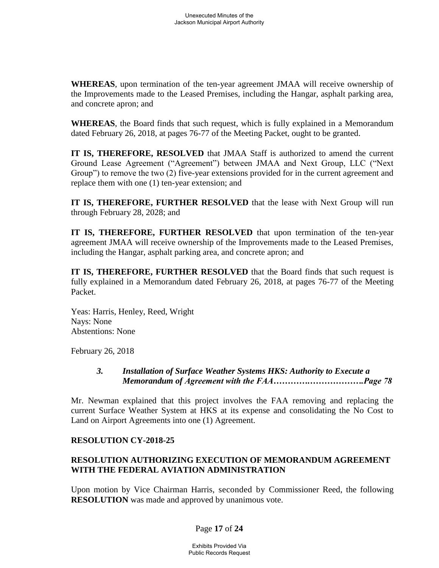**WHEREAS**, upon termination of the ten-year agreement JMAA will receive ownership of the Improvements made to the Leased Premises, including the Hangar, asphalt parking area, and concrete apron; and

**WHEREAS**, the Board finds that such request, which is fully explained in a Memorandum dated February 26, 2018, at pages 76-77 of the Meeting Packet, ought to be granted.

**IT IS, THEREFORE, RESOLVED** that JMAA Staff is authorized to amend the current Ground Lease Agreement ("Agreement") between JMAA and Next Group, LLC ("Next Group") to remove the two (2) five-year extensions provided for in the current agreement and replace them with one (1) ten-year extension; and

**IT IS, THEREFORE, FURTHER RESOLVED** that the lease with Next Group will run through February 28, 2028; and

**IT IS, THEREFORE, FURTHER RESOLVED** that upon termination of the ten-year agreement JMAA will receive ownership of the Improvements made to the Leased Premises, including the Hangar, asphalt parking area, and concrete apron; and

**IT IS, THEREFORE, FURTHER RESOLVED** that the Board finds that such request is fully explained in a Memorandum dated February 26, 2018, at pages 76-77 of the Meeting Packet.

Yeas: Harris, Henley, Reed, Wright Nays: None Abstentions: None

February 26, 2018

# *3. Installation of Surface Weather Systems HKS: Authority to Execute a Memorandum of Agreement with the FAA………….……………….Page 78*

Mr. Newman explained that this project involves the FAA removing and replacing the current Surface Weather System at HKS at its expense and consolidating the No Cost to Land on Airport Agreements into one (1) Agreement.

# **RESOLUTION CY-2018-25**

# **RESOLUTION AUTHORIZING EXECUTION OF MEMORANDUM AGREEMENT WITH THE FEDERAL AVIATION ADMINISTRATION**

Upon motion by Vice Chairman Harris, seconded by Commissioner Reed, the following **RESOLUTION** was made and approved by unanimous vote.

# Page **17** of **24**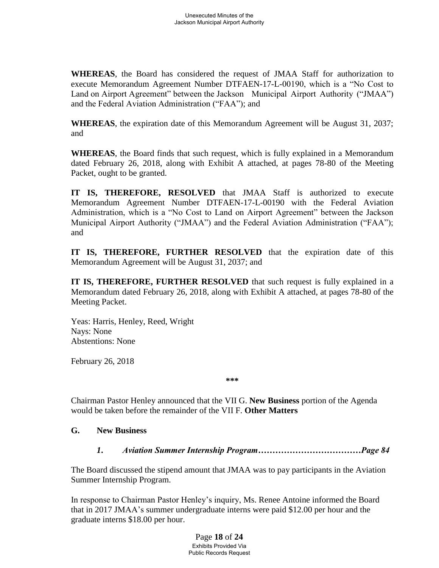**WHEREAS**, the Board has considered the request of JMAA Staff for authorization to execute Memorandum Agreement Number DTFAEN-17-L-00190, which is a "No Cost to Land on Airport Agreement" between the Jackson Municipal Airport Authority ("JMAA") and the Federal Aviation Administration ("FAA"); and

**WHEREAS**, the expiration date of this Memorandum Agreement will be August 31, 2037; and

**WHEREAS**, the Board finds that such request, which is fully explained in a Memorandum dated February 26, 2018, along with Exhibit A attached, at pages 78-80 of the Meeting Packet, ought to be granted.

**IT IS, THEREFORE, RESOLVED** that JMAA Staff is authorized to execute Memorandum Agreement Number DTFAEN-17-L-00190 with the Federal Aviation Administration, which is a "No Cost to Land on Airport Agreement" between the Jackson Municipal Airport Authority ("JMAA") and the Federal Aviation Administration ("FAA"); and

**IT IS, THEREFORE, FURTHER RESOLVED** that the expiration date of this Memorandum Agreement will be August 31, 2037; and

**IT IS, THEREFORE, FURTHER RESOLVED** that such request is fully explained in a Memorandum dated February 26, 2018, along with Exhibit A attached, at pages 78-80 of the Meeting Packet.

Yeas: Harris, Henley, Reed, Wright Nays: None Abstentions: None

February 26, 2018

**\*\*\***

Chairman Pastor Henley announced that the VII G. **New Business** portion of the Agenda would be taken before the remainder of the VII F. **Other Matters**

# **G. New Business**

*1***.** *Aviation Summer Internship Program………………………………Page 84*

The Board discussed the stipend amount that JMAA was to pay participants in the Aviation Summer Internship Program.

In response to Chairman Pastor Henley's inquiry, Ms. Renee Antoine informed the Board that in 2017 JMAA's summer undergraduate interns were paid \$12.00 per hour and the graduate interns \$18.00 per hour.

> Page **18** of **24** Exhibits Provided Via Public Records Request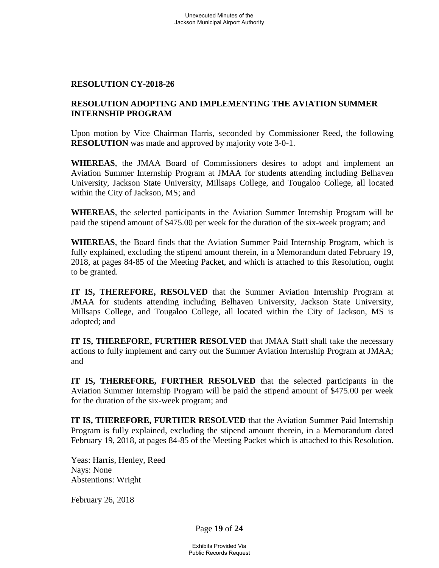### **RESOLUTION CY-2018-26**

# **RESOLUTION ADOPTING AND IMPLEMENTING THE AVIATION SUMMER INTERNSHIP PROGRAM**

Upon motion by Vice Chairman Harris, seconded by Commissioner Reed, the following **RESOLUTION** was made and approved by majority vote 3-0-1.

**WHEREAS**, the JMAA Board of Commissioners desires to adopt and implement an Aviation Summer Internship Program at JMAA for students attending including Belhaven University, Jackson State University, Millsaps College, and Tougaloo College, all located within the City of Jackson, MS; and

**WHEREAS**, the selected participants in the Aviation Summer Internship Program will be paid the stipend amount of \$475.00 per week for the duration of the six-week program; and

**WHEREAS**, the Board finds that the Aviation Summer Paid Internship Program, which is fully explained, excluding the stipend amount therein, in a Memorandum dated February 19, 2018, at pages 84-85 of the Meeting Packet, and which is attached to this Resolution, ought to be granted.

**IT IS, THEREFORE, RESOLVED** that the Summer Aviation Internship Program at JMAA for students attending including Belhaven University, Jackson State University, Millsaps College, and Tougaloo College, all located within the City of Jackson, MS is adopted; and

**IT IS, THEREFORE, FURTHER RESOLVED** that JMAA Staff shall take the necessary actions to fully implement and carry out the Summer Aviation Internship Program at JMAA; and

**IT IS, THEREFORE, FURTHER RESOLVED** that the selected participants in the Aviation Summer Internship Program will be paid the stipend amount of \$475.00 per week for the duration of the six-week program; and

**IT IS, THEREFORE, FURTHER RESOLVED** that the Aviation Summer Paid Internship Program is fully explained, excluding the stipend amount therein, in a Memorandum dated February 19, 2018, at pages 84-85 of the Meeting Packet which is attached to this Resolution.

Yeas: Harris, Henley, Reed Nays: None Abstentions: Wright

February 26, 2018

Page **19** of **24**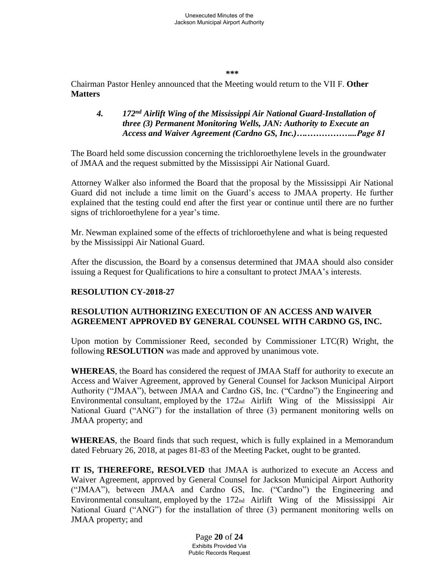**\*\*\***

Chairman Pastor Henley announced that the Meeting would return to the VII F. **Other Matters**

# *4. 172nd Airlift Wing of the Mississippi Air National Guard-Installation of three (3) Permanent Monitoring Wells, JAN: Authority to Execute an Access and Waiver Agreement (Cardno GS, Inc.)….……………...Page 81*

The Board held some discussion concerning the trichloroethylene levels in the groundwater of JMAA and the request submitted by the Mississippi Air National Guard.

Attorney Walker also informed the Board that the proposal by the Mississippi Air National Guard did not include a time limit on the Guard's access to JMAA property. He further explained that the testing could end after the first year or continue until there are no further signs of trichloroethylene for a year's time.

Mr. Newman explained some of the effects of trichloroethylene and what is being requested by the Mississippi Air National Guard.

After the discussion, the Board by a consensus determined that JMAA should also consider issuing a Request for Qualifications to hire a consultant to protect JMAA's interests.

# **RESOLUTION CY-2018-27**

# **RESOLUTION AUTHORIZING EXECUTION OF AN ACCESS AND WAIVER AGREEMENT APPROVED BY GENERAL COUNSEL WITH CARDNO GS, INC.**

Upon motion by Commissioner Reed, seconded by Commissioner LTC(R) Wright, the following **RESOLUTION** was made and approved by unanimous vote.

**WHEREAS**, the Board has considered the request of JMAA Staff for authority to execute an Access and Waiver Agreement, approved by General Counsel for Jackson Municipal Airport Authority ("JMAA"), between JMAA and Cardno GS, Inc. ("Cardno") the Engineering and Environmental consultant, employed by the 172nd Airlift Wing of the Mississippi Air National Guard ("ANG") for the installation of three (3) permanent monitoring wells on JMAA property; and

**WHEREAS**, the Board finds that such request, which is fully explained in a Memorandum dated February 26, 2018, at pages 81-83 of the Meeting Packet, ought to be granted.

**IT IS, THEREFORE, RESOLVED** that JMAA is authorized to execute an Access and Waiver Agreement, approved by General Counsel for Jackson Municipal Airport Authority ("JMAA"), between JMAA and Cardno GS, Inc. ("Cardno") the Engineering and Environmental consultant, employed by the 172nd Airlift Wing of the Mississippi Air National Guard ("ANG") for the installation of three (3) permanent monitoring wells on JMAA property; and

> Page **20** of **24** Exhibits Provided Via Public Records Request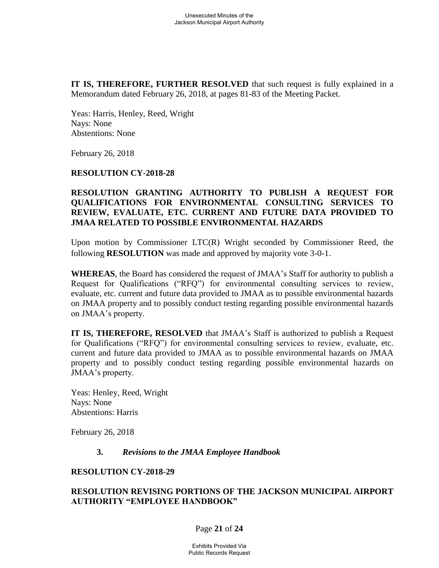**IT IS, THEREFORE, FURTHER RESOLVED** that such request is fully explained in a Memorandum dated February 26, 2018, at pages 81-83 of the Meeting Packet.

Yeas: Harris, Henley, Reed, Wright Nays: None Abstentions: None

February 26, 2018

#### **RESOLUTION CY-2018-28**

### **RESOLUTION GRANTING AUTHORITY TO PUBLISH A REQUEST FOR QUALIFICATIONS FOR ENVIRONMENTAL CONSULTING SERVICES TO REVIEW, EVALUATE, ETC. CURRENT AND FUTURE DATA PROVIDED TO JMAA RELATED TO POSSIBLE ENVIRONMENTAL HAZARDS**

Upon motion by Commissioner LTC(R) Wright seconded by Commissioner Reed, the following **RESOLUTION** was made and approved by majority vote 3-0-1.

**WHEREAS**, the Board has considered the request of JMAA's Staff for authority to publish a Request for Qualifications ("RFQ") for environmental consulting services to review, evaluate, etc. current and future data provided to JMAA as to possible environmental hazards on JMAA property and to possibly conduct testing regarding possible environmental hazards on JMAA's property.

**IT IS, THEREFORE, RESOLVED** that JMAA's Staff is authorized to publish a Request for Qualifications ("RFQ") for environmental consulting services to review, evaluate, etc. current and future data provided to JMAA as to possible environmental hazards on JMAA property and to possibly conduct testing regarding possible environmental hazards on JMAA's property.

Yeas: Henley, Reed, Wright Nays: None Abstentions: Harris

February 26, 2018

#### **3.** *Revisions to the JMAA Employee Handbook*

#### **RESOLUTION CY-2018-29**

### **RESOLUTION REVISING PORTIONS OF THE JACKSON MUNICIPAL AIRPORT AUTHORITY "EMPLOYEE HANDBOOK"**

#### Page **21** of **24**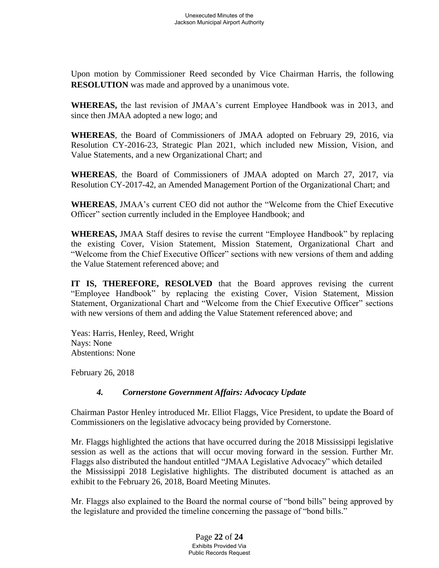Upon motion by Commissioner Reed seconded by Vice Chairman Harris, the following **RESOLUTION** was made and approved by a unanimous vote.

**WHEREAS,** the last revision of JMAA's current Employee Handbook was in 2013, and since then JMAA adopted a new logo; and

**WHEREAS**, the Board of Commissioners of JMAA adopted on February 29, 2016, via Resolution CY-2016-23, Strategic Plan 2021, which included new Mission, Vision, and Value Statements, and a new Organizational Chart; and

**WHEREAS**, the Board of Commissioners of JMAA adopted on March 27, 2017, via Resolution CY-2017-42, an Amended Management Portion of the Organizational Chart; and

**WHEREAS**, JMAA's current CEO did not author the "Welcome from the Chief Executive Officer" section currently included in the Employee Handbook; and

**WHEREAS,** JMAA Staff desires to revise the current "Employee Handbook" by replacing the existing Cover, Vision Statement, Mission Statement, Organizational Chart and "Welcome from the Chief Executive Officer" sections with new versions of them and adding the Value Statement referenced above; and

**IT IS, THEREFORE, RESOLVED** that the Board approves revising the current "Employee Handbook" by replacing the existing Cover, Vision Statement, Mission Statement, Organizational Chart and "Welcome from the Chief Executive Officer" sections with new versions of them and adding the Value Statement referenced above; and

Yeas: Harris, Henley, Reed, Wright Nays: None Abstentions: None

February 26, 2018

# *4. Cornerstone Government Affairs: Advocacy Update*

Chairman Pastor Henley introduced Mr. Elliot Flaggs, Vice President, to update the Board of Commissioners on the legislative advocacy being provided by Cornerstone.

Mr. Flaggs highlighted the actions that have occurred during the 2018 Mississippi legislative session as well as the actions that will occur moving forward in the session. Further Mr. Flaggs also distributed the handout entitled "JMAA Legislative Advocacy" which detailed the Mississippi 2018 Legislative highlights. The distributed document is attached as an exhibit to the February 26, 2018, Board Meeting Minutes.

Mr. Flaggs also explained to the Board the normal course of "bond bills" being approved by the legislature and provided the timeline concerning the passage of "bond bills."

> Page **22** of **24** Exhibits Provided Via Public Records Request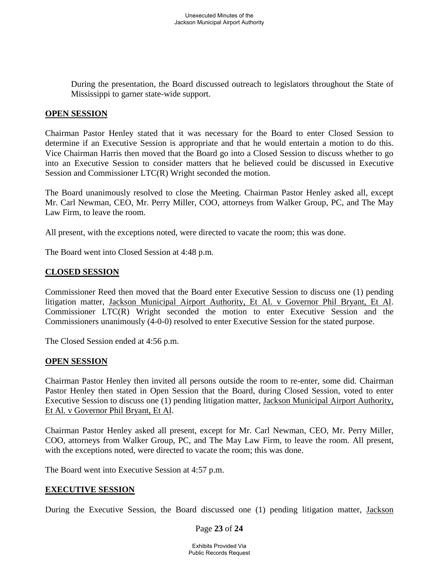During the presentation, the Board discussed outreach to legislators throughout the State of Mississippi to garner state-wide support.

### **OPEN SESSION**

Chairman Pastor Henley stated that it was necessary for the Board to enter Closed Session to determine if an Executive Session is appropriate and that he would entertain a motion to do this. Vice Chairman Harris then moved that the Board go into a Closed Session to discuss whether to go into an Executive Session to consider matters that he believed could be discussed in Executive Session and Commissioner LTC(R) Wright seconded the motion.

The Board unanimously resolved to close the Meeting. Chairman Pastor Henley asked all, except Mr. Carl Newman, CEO, Mr. Perry Miller, COO, attorneys from Walker Group, PC, and The May Law Firm, to leave the room.

All present, with the exceptions noted, were directed to vacate the room; this was done.

The Board went into Closed Session at 4:48 p.m.

# **CLOSED SESSION**

Commissioner Reed then moved that the Board enter Executive Session to discuss one (1) pending litigation matter, Jackson Municipal Airport Authority, Et Al. v Governor Phil Bryant, Et Al. Commissioner LTC(R) Wright seconded the motion to enter Executive Session and the Commissioners unanimously (4-0-0) resolved to enter Executive Session for the stated purpose.

The Closed Session ended at 4:56 p.m.

#### **OPEN SESSION**

Chairman Pastor Henley then invited all persons outside the room to re-enter, some did. Chairman Pastor Henley then stated in Open Session that the Board, during Closed Session, voted to enter Executive Session to discuss one (1) pending litigation matter, Jackson Municipal Airport Authority, Et Al. v Governor Phil Bryant, Et Al.

Chairman Pastor Henley asked all present, except for Mr. Carl Newman, CEO, Mr. Perry Miller, COO, attorneys from Walker Group, PC, and The May Law Firm, to leave the room. All present, with the exceptions noted, were directed to vacate the room; this was done.

The Board went into Executive Session at 4:57 p.m.

#### **EXECUTIVE SESSION**

During the Executive Session, the Board discussed one (1) pending litigation matter, Jackson

#### Page **23** of **24**

Exhibits Provided Via Public Records Request